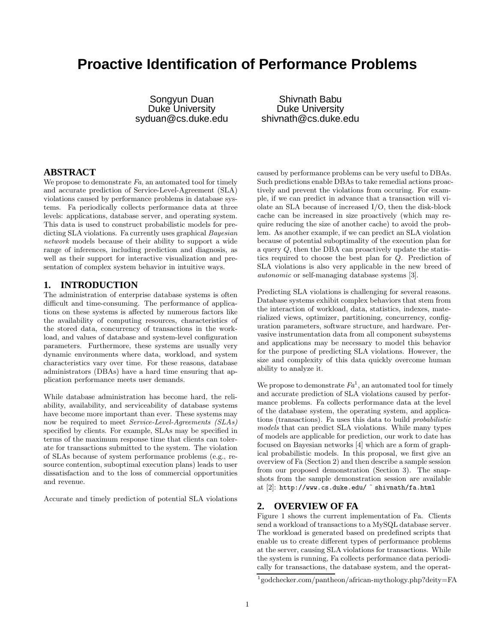# **Proactive Identification of Performance Problems**

Songyun Duan Duke University syduan@cs.duke.edu

Shivnath Babu Duke University shivnath@cs.duke.edu

# **ABSTRACT**

We propose to demonstrate  $Fa$ , an automated tool for timely and accurate prediction of Service-Level-Agreement (SLA) violations caused by performance problems in database systems. Fa periodically collects performance data at three levels: applications, database server, and operating system. This data is used to construct probabilistic models for predicting SLA violations. Fa currently uses graphical *Bayesian* network models because of their ability to support a wide range of inferences, including prediction and diagnosis, as well as their support for interactive visualization and presentation of complex system behavior in intuitive ways.

# **1. INTRODUCTION**

The administration of enterprise database systems is often difficult and time-consuming. The performance of applications on these systems is affected by numerous factors like the availability of computing resources, characteristics of the stored data, concurrency of transactions in the workload, and values of database and system-level configuration parameters. Furthermore, these systems are usually very dynamic environments where data, workload, and system characteristics vary over time. For these reasons, database administrators (DBAs) have a hard time ensuring that application performance meets user demands.

While database administration has become hard, the reliability, availability, and serviceability of database systems have become more important than ever. These systems may now be required to meet *Service-Level-Agreements* (SLAs) specified by clients. For example, SLAs may be specified in terms of the maximum response time that clients can tolerate for transactions submitted to the system. The violation of SLAs because of system performance problems (e.g., resource contention, suboptimal execution plans) leads to user dissatisfaction and to the loss of commercial opportunities and revenue.

Accurate and timely prediction of potential SLA violations

caused by performance problems can be very useful to DBAs. Such predictions enable DBAs to take remedial actions proactively and prevent the violations from occuring. For example, if we can predict in advance that a transaction will violate an SLA because of increased I/O, then the disk-block cache can be increased in size proactively (which may require reducing the size of another cache) to avoid the problem. As another example, if we can predict an SLA violation because of potential suboptimality of the execution plan for a query Q, then the DBA can proactively update the statistics required to choose the best plan for Q. Prediction of SLA violations is also very applicable in the new breed of autonomic or self-managing database systems [3].

Predicting SLA violations is challenging for several reasons. Database systems exhibit complex behaviors that stem from the interaction of workload, data, statistics, indexes, materialized views, optimizer, partitioning, concurrency, configuration parameters, software structure, and hardware. Pervasive instrumentation data from all component subsystems and applications may be necessary to model this behavior for the purpose of predicting SLA violations. However, the size and complexity of this data quickly overcome human ability to analyze it.

We propose to demonstrate  $Fa^1$ , an automated tool for timely and accurate prediction of SLA violations caused by performance problems. Fa collects performance data at the level of the database system, the operating system, and applications (transactions). Fa uses this data to build probabilistic models that can predict SLA violations. While many types of models are applicable for prediction, our work to date has focused on Bayesian networks [4] which are a form of graphical probabilistic models. In this proposal, we first give an overview of Fa (Section 2) and then describe a sample session from our proposed demonstration (Section 3). The snapshots from the sample demonstration session are available at [2]: http://www.cs.duke.edu/ ˜ shivnath/fa.html

#### **2. OVERVIEW OF FA**

Figure 1 shows the current implementation of Fa. Clients send a workload of transactions to a MySQL database server. The workload is generated based on predefined scripts that enable us to create different types of performance problems at the server, causing SLA violations for transactions. While the system is running, Fa collects performance data periodically for transactions, the database system, and the operat-

<sup>1</sup> godchecker.com/pantheon/african-mythology.php?deity=FA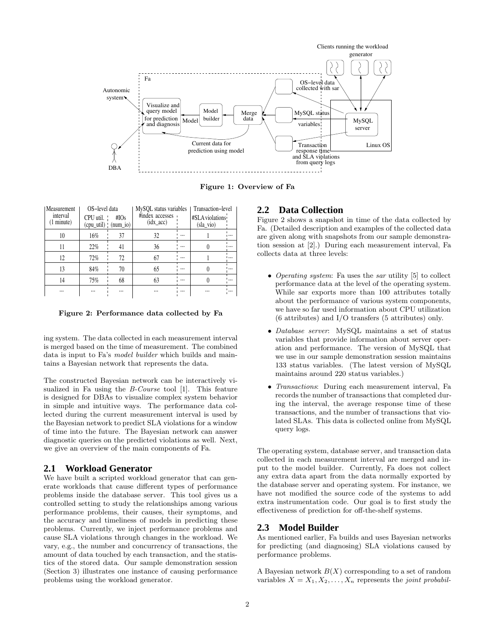

Figure 1: Overview of Fa

| Measurement<br>interval<br>$(1$ minute) | OS-level data<br>CPU util. | #IOs<br>(cpu_util)   (num_io) | MySOL status variables<br>#index accesses<br>$(\text{idx} \_\text{acc})$ |          | Transaction-level<br>#SLA violations<br>(sla vio) |          |
|-----------------------------------------|----------------------------|-------------------------------|--------------------------------------------------------------------------|----------|---------------------------------------------------|----------|
| 10                                      | 16%                        | 37                            | 32                                                                       | $\cdots$ |                                                   | $\cdots$ |
| 11                                      | 22%                        | 41                            | 36                                                                       | $\cdots$ |                                                   | $\cdots$ |
| 12                                      | 72%                        | 72                            | 67                                                                       |          |                                                   | $\dots$  |
| 13                                      | 84%                        | 70                            | 65                                                                       |          |                                                   | $\cdots$ |
| 14                                      | 75%                        | 68                            | 63                                                                       |          |                                                   | $\cdots$ |
| $\cdots$                                |                            |                               |                                                                          |          |                                                   | $\cdots$ |

Figure 2: Performance data collected by Fa

ing system. The data collected in each measurement interval is merged based on the time of measurement. The combined data is input to Fa's model builder which builds and maintains a Bayesian network that represents the data.

The constructed Bayesian network can be interactively visualized in Fa using the *B-Course* tool [1]. This feature is designed for DBAs to visualize complex system behavior in simple and intuitive ways. The performance data collected during the current measurement interval is used by the Bayesian network to predict SLA violations for a window of time into the future. The Bayesian network can answer diagnostic queries on the predicted violations as well. Next, we give an overview of the main components of Fa.

### **2.1 Workload Generator**

We have built a scripted workload generator that can generate workloads that cause different types of performance problems inside the database server. This tool gives us a controlled setting to study the relationships among various performance problems, their causes, their symptoms, and the accuracy and timeliness of models in predicting these problems. Currently, we inject performance problems and cause SLA violations through changes in the workload. We vary, e.g., the number and concurrency of transactions, the amount of data touched by each transaction, and the statistics of the stored data. Our sample demonstration session (Section 3) illustrates one instance of causing performance problems using the workload generator.

# **2.2 Data Collection**

Figure 2 shows a snapshot in time of the data collected by Fa. (Detailed description and examples of the collected data are given along with snapshots from our sample demonstration session at [2].) During each measurement interval, Fa collects data at three levels:

- Operating system: Fa uses the sar utility [5] to collect performance data at the level of the operating system. While sar exports more than 100 attributes totally about the performance of various system components, we have so far used information about CPU utilization (6 attributes) and I/O transfers (5 attributes) only.
- Database server: MySQL maintains a set of status variables that provide information about server operation and performance. The version of MySQL that we use in our sample demonstration session maintains 133 status variables. (The latest version of MySQL maintains around 220 status variables.)
- Transactions: During each measurement interval, Fa records the number of transactions that completed during the interval, the average response time of these transactions, and the number of transactions that violated SLAs. This data is collected online from MySQL query logs.

The operating system, database server, and transaction data collected in each measurement interval are merged and input to the model builder. Currently, Fa does not collect any extra data apart from the data normally exported by the database server and operating system. For instance, we have not modified the source code of the systems to add extra instrumentation code. Our goal is to first study the effectiveness of prediction for off-the-shelf systems.

#### **2.3 Model Builder**

As mentioned earlier, Fa builds and uses Bayesian networks for predicting (and diagnosing) SLA violations caused by performance problems.

A Bayesian network  $B(X)$  corresponding to a set of random variables  $X = X_1, X_2, \ldots, X_n$  represents the joint probabil-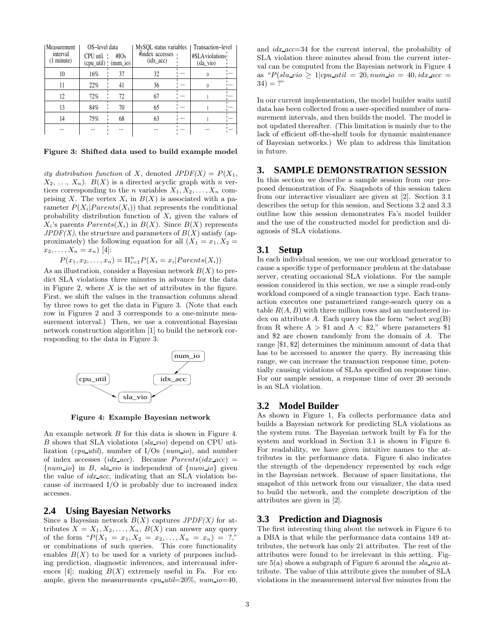| Measurement<br>interval<br>(1 minute) | OS-level data<br>CPU util. | #IOs<br>(cpu_util)   (num_io) | MySQL status variables<br>#index accesses<br>$(\text{idx}\_\text{acc})$ |          | Transaction-level<br>#SLA violations<br>$sla$ vio) |          |
|---------------------------------------|----------------------------|-------------------------------|-------------------------------------------------------------------------|----------|----------------------------------------------------|----------|
| 10                                    | 16%                        | 37                            | 32                                                                      |          | 0                                                  |          |
| 11                                    | 22%                        | 41                            | 36                                                                      | $\cdots$ |                                                    |          |
| 12                                    | 72%                        | 72                            | 67                                                                      |          |                                                    | $\cdots$ |
| 13                                    | 84%                        | 70                            | 65                                                                      | $\cdots$ |                                                    |          |
| 14                                    | 75%                        | 68                            | 63                                                                      |          |                                                    | $\cdots$ |
|                                       |                            |                               |                                                                         |          |                                                    |          |

Figure 3: Shifted data used to build example model

ity distribution function of X, denoted  $JPDF(X) = P(X_1,$  $X_2, \ldots, X_n$ ).  $B(X)$  is a directed acyclic graph with n vertices corresponding to the *n* variables  $X_1, X_2, \ldots, X_n$  comprising X. The vertex  $X_i$  in  $B(X)$  is associated with a parameter  $P(X_i|Parents(X_i))$  that represents the conditional probability distribution function of  $X_i$  given the values of  $X_i$ 's parents  $Parents(X_i)$  in  $B(X)$ . Since  $B(X)$  represents  $JPDF(X)$ , the structure and parameters of  $B(X)$  satisfy (approximately) the following equation for all  $(X_1 = x_1, X_2 =$  $x_2, \ldots, X_n = x_n$  [4]:

$$
P(x_1, x_2, \ldots, x_n) = \Pi_{i=1}^n P(X_i = x_i | Parents(X_i))
$$

As an illustration, consider a Bayesian network  $B(X)$  to predict SLA violations three minutes in advance for the data in Figure 2, where  $X$  is the set of attributes in the figure. First, we shift the values in the transaction columns ahead by three rows to get the data in Figure 3. (Note that each row in Figures 2 and 3 corresponds to a one-minute measurement interval.) Then, we use a conventional Bayesian network construction algorithm [1] to build the network corresponding to the data in Figure 3.



Figure 4: Example Bayesian network

An example network B for this data is shown in Figure 4. B shows that SLA violations (sla vio) depend on CPU utilization (*cpu\_util*), number of  $I/Os$  ( $num\_io$ ), and number of index accesses ( $idx\_\text{acc}$ ). Because  $Parents(idx\_\text{acc})$  =  ${numio}$  in B, sla vio is independent of  ${numio}$  given the value of  $idx\_acc$ , indicating that an SLA violation because of increased I/O is probably due to increased index accesses.

# **2.4 Using Bayesian Networks**

Since a Bayesian network  $B(X)$  captures  $JPDF(X)$  for attributes  $X = X_1, X_2, \ldots, X_n, B(X)$  can answer any query of the form " $P(X_1 = x_1, X_2 = x_2, \ldots, X_n = x_n) = ?$ " or combinations of such queries. This core functionality enables  $B(X)$  to be used for a variety of purposes including prediction, diagnostic inferences, and intercausal inferences [4]; making  $B(X)$  extremely useful in Fa. For example, given the measurements  $cpu.util=20\%$ ,  $num.io=40$ , and idx acc=34 for the current interval, the probability of SLA violation three minutes ahead from the current interval can be computed from the Bayesian network in Figure 4 as " $P(sla\_vio > 1|cpu\_util = 20, num\_io = 40, idx\_acc =$  $34) = ?$ "

In our current implementation, the model builder waits until data has been collected from a user-specified number of measurement intervals, and then builds the model. The model is not updated thereafter. (This limitation is mainly due to the lack of efficient off-the-shelf tools for dynamic maintenance of Bayesian networks.) We plan to address this limitation in future.

# **3. SAMPLE DEMONSTRATION SESSION**

In this section we describe a sample session from our proposed demonstration of Fa. Snapshots of this session taken from our interactive visualizer are given at [2]. Section 3.1 describes the setup for this session, and Sections 3.2 and 3.3 outline how this session demonstrates Fa's model builder and the use of the constructed model for prediction and diagnosis of SLA violations.

#### **3.1 Setup**

In each individual session, we use our workload generator to cause a specific type of performance problem at the database server, creating occasional SLA violations. For the sample session considered in this section, we use a simple read-only workload composed of a single transaction type. Each transaction executes one parametrized range-search query on a table  $R(A, B)$  with three million rows and an unclustered index on attribute A. Each query has the form "select  $avg(B)$ from R where  $A > $1$  and  $A < $2$ ," where parameters \$1 and \$2 are chosen randomly from the domain of A. The range [\$1, \$2] determines the minimum amount of data that has to be accessed to answer the query. By increasing this range, we can increase the transaction response time, potentially causing violations of SLAs specified on response time. For our sample session, a response time of over 20 seconds is an SLA violation.

#### **3.2 Model Builder**

As shown in Figure 1, Fa collects performance data and builds a Bayesian network for predicting SLA violations as the system runs. The Bayesian network built by Fa for the system and workload in Section 3.1 is shown in Figure 6. For readability, we have given intuitive names to the attributes in the performance data. Figure 6 also indicates the strength of the dependency represented by each edge in the Bayesian network. Because of space limitations, the snapshot of this network from our visualizer, the data used to build the network, and the complete description of the attributes are given in [2].

#### **3.3 Prediction and Diagnosis**

The first interesting thing about the network in Figure 6 to a DBA is that while the performance data contains 149 attributes, the network has only 21 attributes. The rest of the attributes were found to be irrelevant in this setting. Figure  $5(a)$  shows a subgraph of Figure 6 around the sla vio attribute. The value of this attribute gives the number of SLA violations in the measurement interval five minutes from the